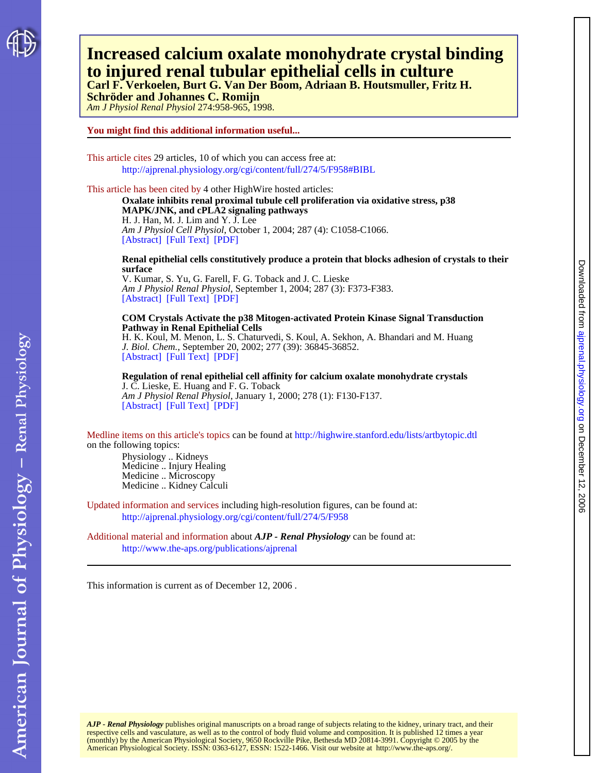

## **to injured renal tubular epithelial cells in culture Increased calcium oxalate monohydrate crystal binding**

**Schröder and Johannes C. Romijn Carl F. Verkoelen, Burt G. Van Der Boom, Adriaan B. Houtsmuller, Fritz H.**

*Am J Physiol Renal Physiol* 274:958-965, 1998.

### **You might find this additional information useful...**

This article cites 29 articles, 10 of which you can access free at: <http://ajprenal.physiology.org/cgi/content/full/274/5/F958#BIBL>

This article has been cited by 4 other HighWire hosted articles:

[\[Abstract\]](http://ajpcell.physiology.org/cgi/content/abstract/287/4/C1058) [\[Full Text\]](http://ajpcell.physiology.org/cgi/content/full/287/4/C1058) [\[PDF\]](http://ajpcell.physiology.org/cgi/reprint/287/4/C1058) *Am J Physiol Cell Physiol*, October 1, 2004; 287 (4): C1058-C1066. H. J. Han, M. J. Lim and Y. J. Lee **MAPK/JNK, and cPLA2 signaling pathways Oxalate inhibits renal proximal tubule cell proliferation via oxidative stress, p38**

**surface Renal epithelial cells constitutively produce a protein that blocks adhesion of crystals to their**

[\[Abstract\]](http://ajprenal.physiology.org/cgi/content/abstract/287/3/F373) [\[Full Text\]](http://ajprenal.physiology.org/cgi/content/full/287/3/F373) [\[PDF\]](http://ajprenal.physiology.org/cgi/reprint/287/3/F373) *Am J Physiol Renal Physiol*, September 1, 2004; 287 (3): F373-F383. V. Kumar, S. Yu, G. Farell, F. G. Toback and J. C. Lieske

### **Pathway in Renal Epithelial Cells COM Crystals Activate the p38 Mitogen-activated Protein Kinase Signal Transduction**

[\[Abstract\]](http://www.jbc.org/cgi/content/abstract/277/39/36845) [\[Full Text\]](http://www.jbc.org/cgi/content/full/277/39/36845) [\[PDF\]](http://www.jbc.org/cgi/reprint/277/39/36845) *J. Biol. Chem.*, September 20, 2002; 277 (39): 36845-36852. H. K. Koul, M. Menon, L. S. Chaturvedi, S. Koul, A. Sekhon, A. Bhandari and M. Huang

[\[Abstract\]](http://ajprenal.physiology.org/cgi/content/abstract/278/1/F130) [\[Full Text\]](http://ajprenal.physiology.org/cgi/content/full/278/1/F130) [\[PDF\]](http://ajprenal.physiology.org/cgi/reprint/278/1/F130) *Am J Physiol Renal Physiol*, January 1, 2000; 278 (1): F130-F137. J. C. Lieske, E. Huang and F. G. Toback **Regulation of renal epithelial cell affinity for calcium oxalate monohydrate crystals**

on the following topics: Medline items on this article's topics can be found at<http://highwire.stanford.edu/lists/artbytopic.dtl>

Medicine .. Kidney Calculi Medicine .. Microscopy Medicine .. Injury Healing Physiology .. Kidneys

Updated information and services including high-resolution figures, can be found at: <http://ajprenal.physiology.org/cgi/content/full/274/5/F958>

Additional material and information about *AJP - Renal Physiology* can be found at: <http://www.the-aps.org/publications/ajprenal>

This information is current as of December 12, 2006 .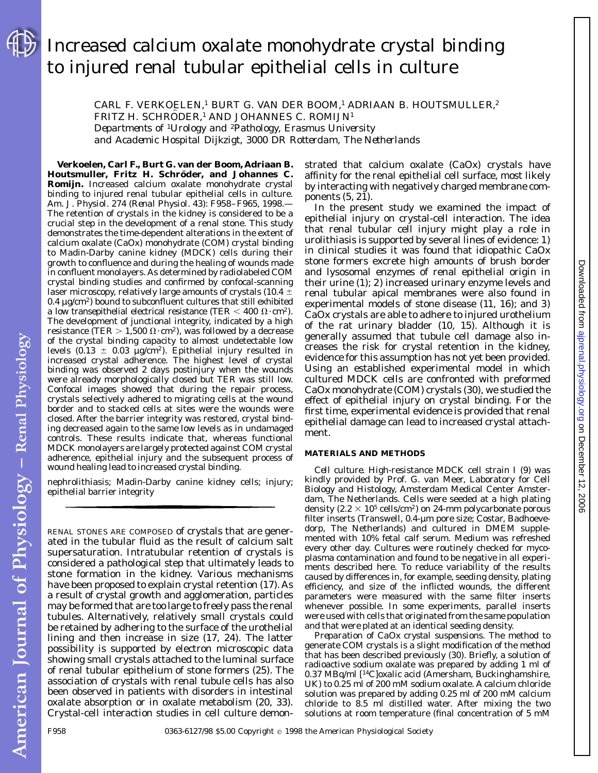# Increased calcium oxalate monohydrate crystal binding to injured renal tubular epithelial cells in culture

CARL F. VERKOELEN,<sup>1</sup> BURT G. VAN DER BOOM,<sup>1</sup> ADRIAAN B. HOUTSMULLER,<sup>2</sup> FRITZ H. SCHRÖDER,<sup>1</sup> AND JOHANNES C. ROMIJN<sup>1</sup>

*Departments of* <sup>1</sup>*Urology and* <sup>2</sup>*Pathology, Erasmus University and Academic Hospital Dijkzigt, 3000 DR Rotterdam, The Netherlands*

**Verkoelen, Carl F., Burt G. van der Boom, Adriaan B.** Houtsmuller, Fritz H. Schröder, and Johannes C. **Romijn.** Increased calcium oxalate monohydrate crystal binding to injured renal tubular epithelial cells in culture. *Am. J. Physiol.* 274 (*Renal Physiol.* 43): F958–F965, 1998.— The retention of crystals in the kidney is considered to be a crucial step in the development of a renal stone. This study demonstrates the time-dependent alterations in the extent of calcium oxalate (CaOx) monohydrate (COM) crystal binding to Madin-Darby canine kidney (MDCK) cells during their growth to confluence and during the healing of wounds made in confluent monolayers. As determined by radiolabeled COM crystal binding studies and confirmed by confocal-scanning laser microscopy, relatively large amounts of crystals (10.4  $\pm$  $0.4 \mu$ g/cm<sup>2</sup>) bound to subconfluent cultures that still exhibited a low transepithelial electrical resistance (TER  $<$  400  $\Omega$ ·cm<sup>2</sup>). The development of junctional integrity, indicated by a high resistance (TER  $> 1,500 \Omega \cdot cm^2$ ), was followed by a decrease of the crystal binding capacity to almost undetectable low levels (0.13  $\pm$  0.03 µg/cm<sup>2</sup>). Epithelial injury resulted in increased crystal adherence. The highest level of crystal binding was observed 2 days postinjury when the wounds were already morphologically closed but TER was still low. Confocal images showed that during the repair process, crystals selectively adhered to migrating cells at the wound border and to stacked cells at sites were the wounds were closed. After the barrier integrity was restored, crystal binding decreased again to the same low levels as in undamaged controls. These results indicate that, whereas functional MDCK monolayers are largely protected against COM crystal adherence, epithelial injury and the subsequent process of wound healing lead to increased crystal binding.

nephrolithiasis; Madin-Darby canine kidney cells; injury; epithelial barrier integrity

RENAL STONES ARE COMPOSED of crystals that are generated in the tubular fluid as the result of calcium salt supersaturation. Intratubular retention of crystals is considered a pathological step that ultimately leads to stone formation in the kidney. Various mechanisms have been proposed to explain crystal retention (17). As a result of crystal growth and agglomeration, particles may be formed that are too large to freely pass the renal tubules. Alternatively, relatively small crystals could be retained by adhering to the surface of the urothelial lining and then increase in size (17, 24). The latter possibility is supported by electron microscopic data showing small crystals attached to the luminal surface of renal tubular epithelium of stone formers (25). The association of crystals with renal tubule cells has also been observed in patients with disorders in intestinal oxalate absorption or in oxalate metabolism (20, 33). Crystal-cell interaction studies in cell culture demonstrated that calcium oxalate (CaOx) crystals have affinity for the renal epithelial cell surface, most likely by interacting with negatively charged membrane components (5, 21).

In the present study we examined the impact of epithelial injury on crystal-cell interaction. The idea that renal tubular cell injury might play a role in urolithiasis is supported by several lines of evidence: *1*) in clinical studies it was found that idiopathic CaOx stone formers excrete high amounts of brush border and lysosomal enzymes of renal epithelial origin in their urine (1); *2*) increased urinary enzyme levels and renal tubular apical membranes were also found in experimental models of stone disease (11, 16); and *3*) CaOx crystals are able to adhere to injured urothelium of the rat urinary bladder (10, 15). Although it is generally assumed that tubule cell damage also increases the risk for crystal retention in the kidney, evidence for this assumption has not yet been provided. Using an established experimental model in which cultured MDCK cells are confronted with preformed CaOx monohydrate (COM) crystals (30), we studied the effect of epithelial injury on crystal binding. For the first time, experimental evidence is provided that renal epithelial damage can lead to increased crystal attachment.

### **MATERIALS AND METHODS**

*Cell culture.* High-resistance MDCK cell strain I (9) was kindly provided by Prof. G. van Meer, Laboratory for Cell Biology and Histology, Amsterdam Medical Center Amsterdam, The Netherlands. Cells were seeded at a high plating density (2.2  $\times$  10<sup>5</sup> cells/cm<sup>2</sup>) on 24-mm polycarbonate porous filter inserts (Transwell, 0.4-µm pore size; Costar, Badhoevedorp, The Netherlands) and cultured in DMEM supplemented with 10% fetal calf serum. Medium was refreshed every other day. Cultures were routinely checked for mycoplasma contamination and found to be negative in all experiments described here. To reduce variability of the results caused by differences in, for example, seeding density, plating efficiency, and size of the inflicted wounds, the different parameters were measured with the same filter inserts whenever possible. In some experiments, parallel inserts were used with cells that originated from the same population and that were plated at an identical seeding density.

*Preparation of CaOx crystal suspensions.* The method to generate COM crystals is a slight modification of the method that has been described previously (30). Briefly, a solution of radioactive sodium oxalate was prepared by adding 1 ml of 0.37 MBq/ml [14C]oxalic acid (Amersham, Buckinghamshire, UK) to 0.25 ml of 200 mM sodium oxalate. A calcium chloride solution was prepared by adding 0.25 ml of 200 mM calcium chloride to 8.5 ml distilled water. After mixing the two solutions at room temperature (final concentration of 5 mM

American Journal of Physiology - Renal Physiology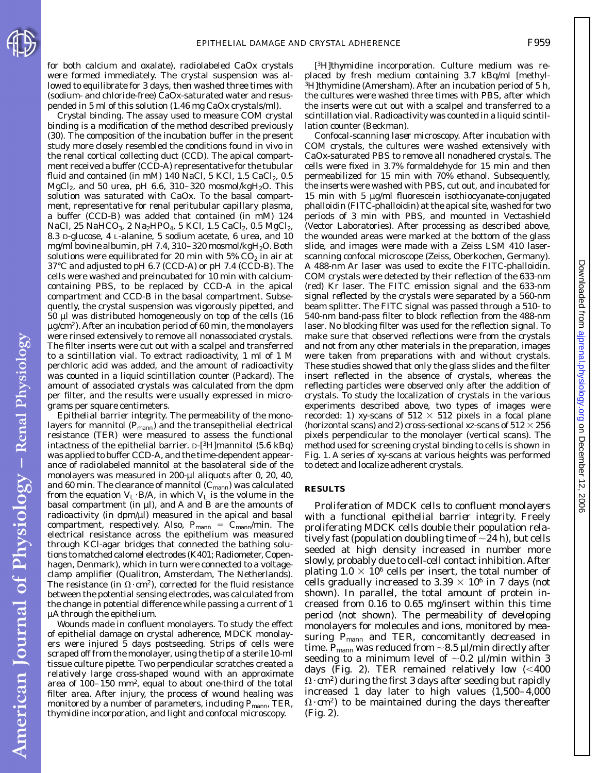American Journal of Physiology - Renal Physiology

Downloadedfrom [ajprenal.physiology.org](http://ajprenal.physiology.org) on December 12, 2006

for both calcium and oxalate), radiolabeled CaOx crystals were formed immediately. The crystal suspension was allowed to equilibrate for 3 days, then washed three times with (sodium- and chloride-free) CaOx-saturated water and resuspended in 5 ml of this solution (1.46 mg CaOx crystals/ml).

*Crystal binding.* The assay used to measure COM crystal binding is a modification of the method described previously (30). The composition of the incubation buffer in the present study more closely resembled the conditions found in vivo in the renal cortical collecting duct (CCD). The apical compartment received a buffer (CCD-A) representative for the tubular fluid and contained (in mM) 140 NaCl, 5 KCl, 1.5 CaCl<sub>2</sub>, 0.5 MgCl<sub>2</sub>, and 50 urea, pH 6.6, 310-320 mosmol/kgH<sub>2</sub>O. This solution was saturated with CaOx. To the basal compartment, representative for renal peritubular capillary plasma, a buffer (CCD-B) was added that contained (in mM) 124 NaCl, 25 NaHCO<sub>3</sub>, 2 Na<sub>2</sub>HPO<sub>4</sub>, 5 KCl, 1.5 CaCl<sub>2</sub>, 0.5 MgCl<sub>2</sub>, 8.3 D-glucose, 4 L-alanine, 5 sodium acetate, 6 urea, and 10 mg/ml bovine albumin, pH 7.4, 310-320 mosmol/kgH<sub>2</sub>O. Both solutions were equilibrated for 20 min with  $5\%$  CO<sub>2</sub> in air at 37°C and adjusted to pH 6.7 (CCD-A) or pH 7.4 (CCD-B). The cells were washed and preincubated for 10 min with calciumcontaining PBS, to be replaced by CCD-A in the apical compartment and CCD-B in the basal compartment. Subsequently, the crystal suspension was vigorously pipetted, and 50 µl was distributed homogeneously on top of the cells (16  $\mu$ g/cm<sup>2</sup>). After an incubation period of 60 min, the monolayers were rinsed extensively to remove all nonassociated crystals. The filter inserts were cut out with a scalpel and transferred to a scintillation vial. To extract radioactivity, 1 ml of 1 M perchloric acid was added, and the amount of radioactivity was counted in a liquid scintillation counter (Packard). The amount of associated crystals was calculated from the dpm per filter, and the results were usually expressed in micrograms per square centimeters.

*Epithelial barrier integrity.* The permeability of the monolayers for mannitol ( $P_{\text{mann}}$ ) and the transepithelial electrical resistance (TER) were measured to assess the functional intactness of the epithelial barrier. D-[3H]mannitol (5.6 kBq) was applied to buffer CCD-A, and the time-dependent appearance of radiolabeled mannitol at the basolateral side of the monolayers was measured in 200-µl aliquots after 0, 20, 40, and 60 min. The clearance of mannitol  $(C_{\text{mann}})$  was calculated from the equation  $V_L$  · B/A, in which  $V_L$  is the volume in the basal compartment (in  $\mu$ ), and A and B are the amounts of radioactivity (in  $dpm/µ$ ) measured in the apical and basal compartment, respectively. Also,  $P_{\text{mann}} = C_{\text{mann}}/ \text{min}$ . The electrical resistance across the epithelium was measured through KCl-agar bridges that connected the bathing solutions to matched calomel electrodes (K401; Radiometer, Copenhagen, Denmark), which in turn were connected to a voltageclamp amplifier (Qualitron, Amsterdam, The Netherlands). The resistance (in  $\Omega \cdot \text{cm}^2$ ), corrected for the fluid resistance between the potential sensing electrodes, was calculated from the change in potential difference while passing a current of 1 µA through the epithelium.

*Wounds made in confluent monolayers.* To study the effect of epithelial damage on crystal adherence, MDCK monolayers were injured 5 days postseeding. Strips of cells were scraped off from the monolayer, using the tip of a sterile 10-ml tissue culture pipette. Two perpendicular scratches created a relatively large cross-shaped wound with an approximate area of 100–150 mm2, equal to about one-third of the total filter area. After injury, the process of wound healing was monitored by a number of parameters, including  $P_{\text{mann}}$ , TER, thymidine incorporation, and light and confocal microscopy.

*[3H]thymidine incorporation.* Culture medium was replaced by fresh medium containing 3.7 kBq/ml [methyl- ${}^{3}$ H]thymidine (Amersham). After an incubation period of 5 h, the cultures were washed three times with PBS, after which the inserts were cut out with a scalpel and transferred to a scintillation vial. Radioactivity was counted in a liquid scintillation counter (Beckman).

*Confocal-scanning laser microscopy.* After incubation with COM crystals, the cultures were washed extensively with CaOx-saturated PBS to remove all nonadhered crystals. The cells were fixed in 3.7% formaldehyde for 15 min and then permeabilized for 15 min with 70% ethanol. Subsequently, the inserts were washed with PBS, cut out, and incubated for 15 min with 5 µg/ml fluorescein isothiocyanate-conjugated phalloidin (FITC-phalloidin) at the apical site, washed for two periods of 3 min with PBS, and mounted in Vectashield (Vector Laboratories). After processing as described above, the wounded areas were marked at the bottom of the glass slide, and images were made with a Zeiss LSM 410 laserscanning confocal microscope (Zeiss, Oberkochen, Germany). A 488-nm Ar laser was used to excite the FITC-phalloidin. COM crystals were detected by their reflection of the 633-nm (red) Kr laser. The FITC emission signal and the 633-nm signal reflected by the crystals were separated by a 560-nm beam splitter. The FITC signal was passed through a 510- to 540-nm band-pass filter to block reflection from the 488-nm laser. No blocking filter was used for the reflection signal. To make sure that observed reflections were from the crystals and not from any other materials in the preparation, images were taken from preparations with and without crystals. These studies showed that only the glass slides and the filter insert reflected in the absence of crystals, whereas the reflecting particles were observed only after the addition of crystals. To study the localization of crystals in the various experiments described above, two types of images were recorded: *1*) *xy*-scans of  $512 \times 512$  pixels in a focal plane (horizontal scans) and 2) cross-sectional *xz*-scans of  $512 \times 256$ pixels perpendicular to the monolayer (vertical scans). The method used for screening crystal binding to cells is shown in Fig. 1. A series of *xy*-scans at various heights was performed to detect and localize adherent crystals.

### **RESULTS**

*Proliferation of MDCK cells to confluent monolayers with a functional epithelial barrier integrity.* Freely proliferating MDCK cells double their population relatively fast (population doubling time of  $\sim$ 24 h), but cells seeded at high density increased in number more slowly, probably due to cell-cell contact inhibition. After plating  $1.0 \times 10^6$  cells per insert, the total number of cells gradually increased to  $3.39 \times 10^6$  in 7 days (not shown). In parallel, the total amount of protein increased from 0.16 to 0.65 mg/insert within this time period (not shown). The permeability of developing monolayers for molecules and ions, monitored by measuring  $P_{\text{mann}}$  and TER, concomitantly decreased in time.  $P_{\text{mann}}$  was reduced from  $\sim$ 8.5 µl/min directly after seeding to a minimum level of  $\sim 0.2$  µl/min within 3 days (Fig. 2). TER remained relatively low  $(< 400$  $\Omega$  · cm<sup>2</sup>) during the first 3 days after seeding but rapidly increased 1 day later to high values  $(1,500-\overline{4},000)$  $(\Omega \cdot cm^2)$  to be maintained during the days thereafter (Fig. 2).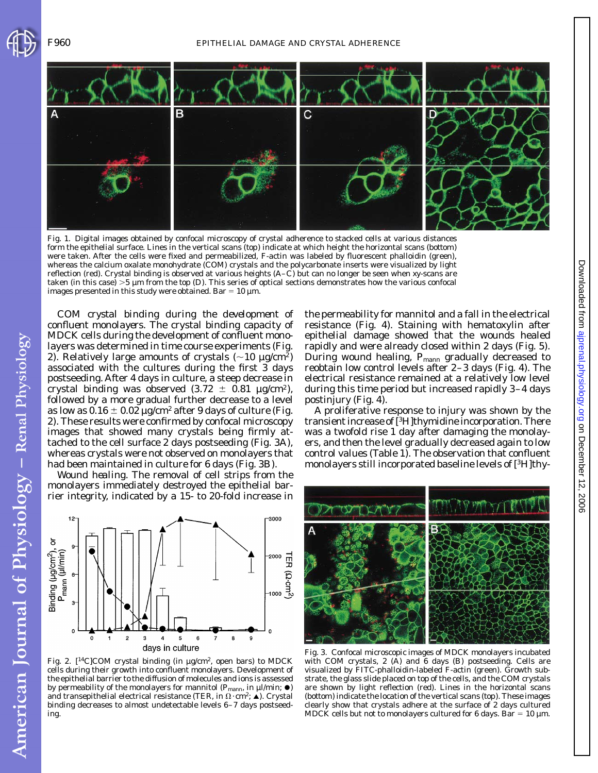



Fig. 1. Digital images obtained by confocal microscopy of crystal adherence to stacked cells at various distances form the epithelial surface. Lines in the vertical scans (*top*) indicate at which height the horizontal scans (*bottom*) were taken. After the cells were fixed and permeabilized, F-actin was labeled by fluorescent phalloidin (green), whereas the calcium oxalate monohydrate (COM) crystals and the polycarbonate inserts were visualized by light reflection (red). Crystal binding is observed at various heights (*A*–*C*) but can no longer be seen when *xy*-scans are taken (in this case)  $>5$  µm from the *top* (*D*). This series of optical sections demonstrates how the various confocal images presented in this study were obtained. Bar =  $10 \mu m$ .

*COM crystal binding during the development of confluent monolayers.* The crystal binding capacity of MDCK cells during the development of confluent monolayers was determined in time course experiments (Fig. 2). Relatively large amounts of crystals  $({\sim}10 \text{ µg/cm}^2)$ associated with the cultures during the first 3 days postseeding. After 4 days in culture, a steep decrease in crystal binding was observed  $(3.72 \pm 0.81 \text{ µg/cm}^2)$ , followed by a more gradual further decrease to a level as low as  $0.16 \pm 0.02$  µg/cm<sup>2</sup> after 9 days of culture (Fig. 2). These results were confirmed by confocal microscopy images that showed many crystals being firmly attached to the cell surface 2 days postseeding (Fig. 3*A*), whereas crystals were not observed on monolayers that had been maintained in culture for 6 days (Fig. 3*B*).

*Wound healing.* The removal of cell strips from the monolayers immediately destroyed the epithelial barrier integrity, indicated by a 15- to 20-fold increase in the permeability for mannitol and a fall in the electrical resistance (Fig. 4). Staining with hematoxylin after epithelial damage showed that the wounds healed rapidly and were already closed within 2 days (Fig. 5). During wound healing,  $P_{\text{mann}}$  gradually decreased to reobtain low control levels after 2–3 days (Fig. 4). The electrical resistance remained at a relatively low level during this time period but increased rapidly 3–4 days postinjury (Fig. 4).

A proliferative response to injury was shown by the transient increase of [3H]thymidine incorporation. There was a twofold rise 1 day after damaging the monolayers, and then the level gradually decreased again to low control values (Table 1). The observation that confluent monolayers still incorporated baseline levels of [3H]thy-



Fig. 2. [14C]COM crystal binding (in µg/cm2, open bars) to MDCK cells during their growth into confluent monolayers. Development of the epithelial barrier to the diffusion of molecules and ions is assessed by permeability of the monolayers for mannitol ( $P_{\text{mann}}$ , in  $\mu$ l/min;  $\bullet$ ) and transepithelial electrical resistance (TER, in  $\Omega \cdot \text{cm}^2$ ;  $\triangle$ ). Crystal binding decreases to almost undetectable levels 6–7 days postseeding.



Fig. 3. Confocal microscopic images of MDCK monolayers incubated with COM crystals, 2 (*A*) and 6 days (*B*) postseeding. Cells are visualized by FITC-phalloidin-labeled F-actin (green). Growth substrate, the glass slide placed on top of the cells, and the COM crystals are shown by light reflection (red). Lines in the horizontal scans (*bottom*) indicate the location of the vertical scans (*top*). These images clearly show that crystals adhere at the surface of 2 days cultured MDCK cells but not to monolayers cultured for 6 days. Bar = 10  $\mu$ m.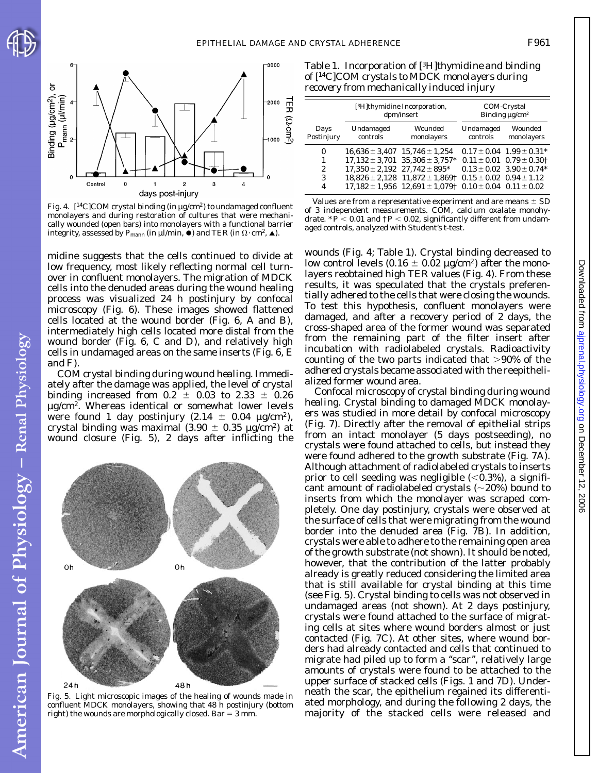

American Journal of Physiology - Renal Physiology



Fig. 4. [<sup>14</sup>C]COM crystal binding (in µg/cm<sup>2</sup>) to undamaged confluent monolayers and during restoration of cultures that were mechanically wounded (open bars) into monolayers with a functional barrier integrity, assessed by  $P_{\text{mann}}$  (in  $\mu$ l/min,  $\bullet$ ) and TER (in  $\Omega$ ·cm<sup>2</sup>,  $\blacktriangle$ ).

midine suggests that the cells continued to divide at low frequency, most likely reflecting normal cell turnover in confluent monolayers. The migration of MDCK cells into the denuded areas during the wound healing process was visualized 24 h postinjury by confocal microscopy (Fig. 6). These images showed flattened cells located at the wound border (Fig. 6, *A* and *B*), intermediately high cells located more distal from the wound border (Fig. 6, *C* and *D*), and relatively high cells in undamaged areas on the same inserts (Fig. 6, *E* and *F*).

*COM crystal binding during wound healing.* Immediately after the damage was applied, the level of crystal binding increased from  $0.2 \pm 0.03$  to  $2.33 \pm 0.26$ µg/cm2. Whereas identical or somewhat lower levels were found 1 day postinjury  $(2.14 \pm 0.04 \text{ µg/cm}^2)$ , crystal binding was maximal (3.90  $\pm$  0.35 µg/cm<sup>2</sup>) at wound closure (Fig. 5), 2 days after inflicting the



Fig. 5. Light microscopic images of the healing of wounds made in confluent MDCK monolayers, showing that 48 h postinjury (*bottom right*) the wounds are morphologically closed. Bar  $=$  3 mm.

Table 1. *Incorporation of [3H]thymidine and binding of [14C]COM crystals to MDCK monolayers during recovery from mechanically induced injury*

|                    | [ <sup>3</sup> H]thymidine Incorporation,<br>dpm/insert |                                                                                                                                                                                              | COM-Crystal<br>Binding $\mu$ g/cm <sup>2</sup>                     |                                                                                                                                              |
|--------------------|---------------------------------------------------------|----------------------------------------------------------------------------------------------------------------------------------------------------------------------------------------------|--------------------------------------------------------------------|----------------------------------------------------------------------------------------------------------------------------------------------|
| Days<br>Postinjury | Undamaged<br>controls                                   | Wounded<br>monolayers                                                                                                                                                                        | Undamaged<br>controls                                              | Wounded<br>monolayers                                                                                                                        |
| 0<br>2<br>3<br>4   | $17,350 \pm 2,192$ $27,742 \pm 895^*$                   | $16,636 \pm 3,407$ $15,746 \pm 1,254$<br>$17,132 \pm 3,701$ $35,306 \pm 3,757^*$<br>$18,826 \pm 2,128$ $11,872 \pm 1,869$ <sup>+</sup><br>$17.182 \pm 1.956$ $12.691 \pm 1.079$ <sup>+</sup> | $0.15 \pm 0.02$ $0.94 \pm 1.12$<br>$0.10 \pm 0.04$ $0.11 \pm 0.02$ | $0.17 \pm 0.04$ $1.99 \pm 0.31$ <sup>*</sup><br>$0.11 \pm 0.01$ $0.79 \pm 0.30$ <sup>+</sup><br>$0.13 \pm 0.02$ $3.90 \pm 0.74$ <sup>*</sup> |

Values are from a representative experiment and are means  $\pm$  SD of 3 independent measurements. COM, calcium oxalate monohydrate.  $*P < 0.01$  and  $\dagger P < 0.02$ , significantly different from undamaged controls, analyzed with Student's *t*-test.

wounds (Fig. 4; Table 1). Crystal binding decreased to low control levels  $(0.16 \pm 0.02 \,\mu\text{g/cm}^2)$  after the monolayers reobtained high TER values (Fig. 4). From these results, it was speculated that the crystals preferentially adhered to the cells that were closing the wounds. To test this hypothesis, confluent monolayers were damaged, and after a recovery period of 2 days, the cross-shaped area of the former wound was separated from the remaining part of the filter insert after incubation with radiolabeled crystals. Radioactivity counting of the two parts indicated that  $>90\%$  of the adhered crystals became associated with the reepithelialized former wound area.

*Confocal microscopy of crystal binding during wound healing*. Crystal binding to damaged MDCK monolayers was studied in more detail by confocal microscopy (Fig. 7). Directly after the removal of epithelial strips from an intact monolayer (5 days postseeding), no crystals were found attached to cells, but instead they were found adhered to the growth substrate (Fig. 7*A*). Although attachment of radiolabeled crystals to inserts prior to cell seeding was negligible  $(<0.3\%)$ , a significant amount of radiolabeled crystals  $(\sim 20\%)$  bound to inserts from which the monolayer was scraped completely. One day postinjury, crystals were observed at the surface of cells that were migrating from the wound border into the denuded area (Fig. 7*B*). In addition, crystals were able to adhere to the remaining open area of the growth substrate (not shown). It should be noted, however, that the contribution of the latter probably already is greatly reduced considering the limited area that is still available for crystal binding at this time (see Fig. 5). Crystal binding to cells was not observed in undamaged areas (not shown). At 2 days postinjury, crystals were found attached to the surface of migrating cells at sites where wound borders almost or just contacted (Fig. 7*C*). At other sites, where wound borders had already contacted and cells that continued to migrate had piled up to form a ''scar'', relatively large amounts of crystals were found to be attached to the upper surface of stacked cells (Figs. 1 and 7*D*). Underneath the scar, the epithelium regained its differentiated morphology, and during the following 2 days, the majority of the stacked cells were released and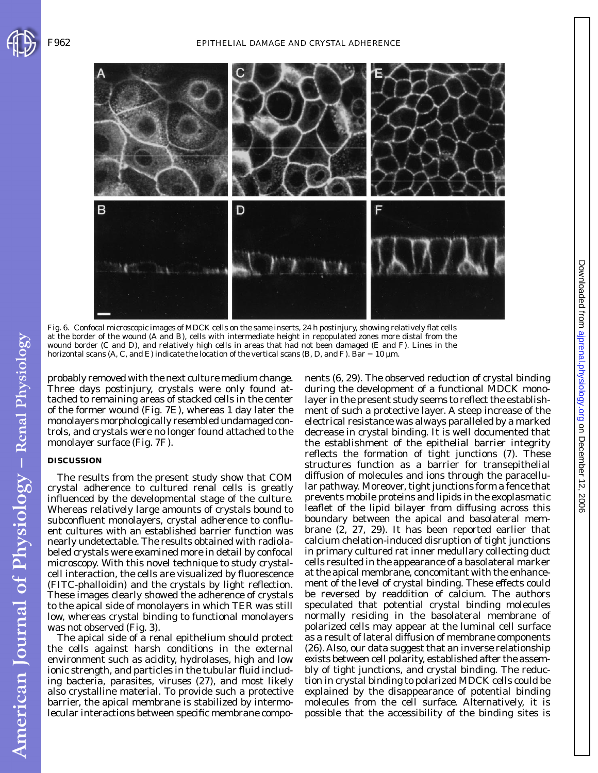

Fig. 6. Confocal microscopic images of MDCK cells on the same inserts, 24 h postinjury, showing relatively flat cells at the border of the wound (*A* and *B*), cells with intermediate height in repopulated zones more distal from the wound border (*C* and *D*), and relatively high cells in areas that had not been damaged (*E* and *F*). Lines in the horizontal scans (*A*, *C*, and *E*) indicate the location of the vertical scans (*B*, *D*, and *F*). Bar = 10 µm.

probably removed with the next culture medium change. Three days postinjury, crystals were only found attached to remaining areas of stacked cells in the center of the former wound (Fig. 7*E*), whereas 1 day later the monolayers morphologically resembled undamaged controls, and crystals were no longer found attached to the monolayer surface (Fig. 7*F*).

### **DISCUSSION**

American Journal of Physiology - Renal Physiology

The results from the present study show that COM crystal adherence to cultured renal cells is greatly influenced by the developmental stage of the culture. Whereas relatively large amounts of crystals bound to subconfluent monolayers, crystal adherence to confluent cultures with an established barrier function was nearly undetectable. The results obtained with radiolabeled crystals were examined more in detail by confocal microscopy. With this novel technique to study crystalcell interaction, the cells are visualized by fluorescence (FITC-phalloidin) and the crystals by light reflection. These images clearly showed the adherence of crystals to the apical side of monolayers in which TER was still low, whereas crystal binding to functional monolayers was not observed (Fig. 3).

The apical side of a renal epithelium should protect the cells against harsh conditions in the external environment such as acidity, hydrolases, high and low ionic strength, and particles in the tubular fluid including bacteria, parasites, viruses (27), and most likely also crystalline material. To provide such a protective barrier, the apical membrane is stabilized by intermolecular interactions between specific membrane components (6, 29). The observed reduction of crystal binding during the development of a functional MDCK monolayer in the present study seems to reflect the establishment of such a protective layer. A steep increase of the electrical resistance was always paralleled by a marked decrease in crystal binding. It is well documented that the establishment of the epithelial barrier integrity reflects the formation of tight junctions (7). These structures function as a barrier for transepithelial diffusion of molecules and ions through the paracellular pathway. Moreover, tight junctions form a fence that prevents mobile proteins and lipids in the exoplasmatic leaflet of the lipid bilayer from diffusing across this boundary between the apical and basolateral membrane (2, 27, 29). It has been reported earlier that calcium chelation-induced disruption of tight junctions in primary cultured rat inner medullary collecting duct cells resulted in the appearance of a basolateral marker at the apical membrane, concomitant with the enhancement of the level of crystal binding. These effects could be reversed by readdition of calcium. The authors speculated that potential crystal binding molecules normally residing in the basolateral membrane of polarized cells may appear at the luminal cell surface as a result of lateral diffusion of membrane components (26). Also, our data suggest that an inverse relationship exists between cell polarity, established after the assembly of tight junctions, and crystal binding. The reduction in crystal binding to polarized MDCK cells could be explained by the disappearance of potential binding molecules from the cell surface. Alternatively, it is possible that the accessibility of the binding sites is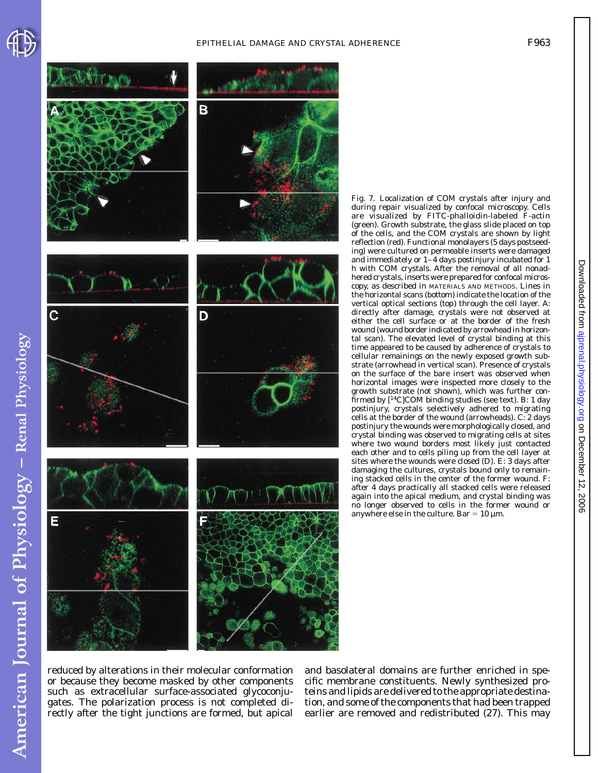



Fig. 7. Localization of COM crystals after injury and during repair visualized by confocal microscopy. Cells are visualized by FITC-phalloidin-labeled F-actin (green). Growth substrate, the glass slide placed on top of the cells, and the COM crystals are shown by light reflection (red). Functional monolayers (5 days postseeding) were cultured on permeable inserts were damaged and immediately or 1–4 days postinjury incubated for 1 h with COM crystals. After the removal of all nonadhered crystals, inserts were prepared for confocal microscopy, as described in MATERIALS AND METHODS. Lines in the horizontal scans (*bottom*) indicate the location of the vertical optical sections (*top*) through the cell layer. *A*: directly after damage, crystals were not observed at either the cell surface or at the border of the fresh wound (wound border indicated by arrowhead in horizontal scan). The elevated level of crystal binding at this time appeared to be caused by adherence of crystals to cellular remainings on the newly exposed growth substrate (arrowhead in vertical scan). Presence of crystals on the surface of the bare insert was observed when horizontal images were inspected more closely to the growth substrate (not shown), which was further confirmed by [14C]COM binding studies (see text). *B*: 1 day postinjury, crystals selectively adhered to migrating cells at the border of the wound (arrowheads). *C*: 2 days postinjury the wounds were morphologically closed, and crystal binding was observed to migrating cells at sites where two wound borders most likely just contacted each other and to cells piling up from the cell layer at sites where the wounds were closed (*D*). *E*: 3 days after damaging the cultures, crystals bound only to remaining stacked cells in the center of the former wound. *F*: after 4 days practically all stacked cells were released again into the apical medium, and crystal binding was no longer observed to cells in the former wound or anywhere else in the culture. Bar =  $10 \mu m$ .

reduced by alterations in their molecular conformation or because they become masked by other components such as extracellular surface-associated glycoconjugates. The polarization process is not completed directly after the tight junctions are formed, but apical

and basolateral domains are further enriched in specific membrane constituents. Newly synthesized proteins and lipids are delivered to the appropriate destination, and some of the components that had been trapped earlier are removed and redistributed (27). This may

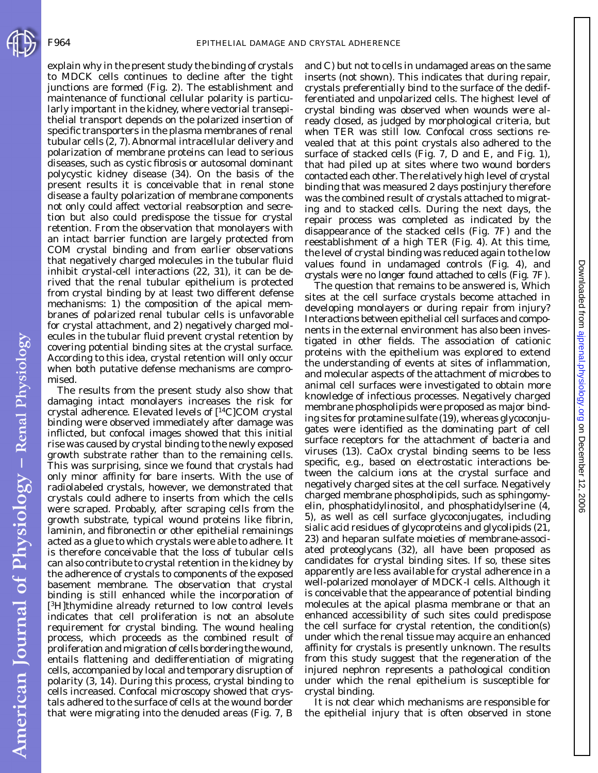American Journal of Physiology - Renal Physiology

explain why in the present study the binding of crystals to MDCK cells continues to decline after the tight junctions are formed (Fig. 2). The establishment and maintenance of functional cellular polarity is particularly important in the kidney, where vectorial transepithelial transport depends on the polarized insertion of specific transporters in the plasma membranes of renal tubular cells (2, 7). Abnormal intracellular delivery and polarization of membrane proteins can lead to serious diseases, such as cystic fibrosis or autosomal dominant polycystic kidney disease (34). On the basis of the present results it is conceivable that in renal stone disease a faulty polarization of membrane components not only could affect vectorial reabsorption and secretion but also could predispose the tissue for crystal retention. From the observation that monolayers with an intact barrier function are largely protected from COM crystal binding and from earlier observations that negatively charged molecules in the tubular fluid inhibit crystal-cell interactions (22, 31), it can be derived that the renal tubular epithelium is protected from crystal binding by at least two different defense mechanisms: *1*) the composition of the apical membranes of polarized renal tubular cells is unfavorable for crystal attachment, and *2*) negatively charged molecules in the tubular fluid prevent crystal retention by covering potential binding sites at the crystal surface. According to this idea, crystal retention will only occur when both putative defense mechanisms are compromised.

The results from the present study also show that damaging intact monolayers increases the risk for crystal adherence. Elevated levels of [14C]COM crystal binding were observed immediately after damage was inflicted, but confocal images showed that this initial rise was caused by crystal binding to the newly exposed growth substrate rather than to the remaining cells. This was surprising, since we found that crystals had only minor affinity for bare inserts. With the use of radiolabeled crystals, however, we demonstrated that crystals could adhere to inserts from which the cells were scraped. Probably, after scraping cells from the growth substrate, typical wound proteins like fibrin, laminin, and fibronectin or other epithelial remainings acted as a glue to which crystals were able to adhere. It is therefore conceivable that the loss of tubular cells can also contribute to crystal retention in the kidney by the adherence of crystals to components of the exposed basement membrane. The observation that crystal binding is still enhanced while the incorporation of [3H]thymidine already returned to low control levels indicates that cell proliferation is not an absolute requirement for crystal binding. The wound healing process, which proceeds as the combined result of proliferation and migration of cells bordering the wound, entails flattening and dedifferentiation of migrating cells, accompanied by local and temporary disruption of polarity (3, 14). During this process, crystal binding to cells increased. Confocal microscopy showed that crystals adhered to the surface of cells at the wound border that were migrating into the denuded areas (Fig. 7, *B* and *C*) but not to cells in undamaged areas on the same inserts (not shown). This indicates that during repair, crystals preferentially bind to the surface of the dedifferentiated and unpolarized cells. The highest level of crystal binding was observed when wounds were already closed, as judged by morphological criteria, but when TER was still low. Confocal cross sections revealed that at this point crystals also adhered to the surface of stacked cells (Fig. 7, *D* and *E*, and Fig. 1), that had piled up at sites where two wound borders contacted each other. The relatively high level of crystal binding that was measured 2 days postinjury therefore was the combined result of crystals attached to migrating and to stacked cells. During the next days, the repair process was completed as indicated by the disappearance of the stacked cells (Fig. 7*F*) and the reestablishment of a high TER (Fig. 4). At this time, the level of crystal binding was reduced again to the low values found in undamaged controls (Fig. 4), and crystals were no longer found attached to cells (Fig. 7*F*).

The question that remains to be answered is, Which sites at the cell surface crystals become attached in developing monolayers or during repair from injury? Interactions between epithelial cell surfaces and components in the external environment has also been investigated in other fields. The association of cationic proteins with the epithelium was explored to extend the understanding of events at sites of inflammation, and molecular aspects of the attachment of microbes to animal cell surfaces were investigated to obtain more knowledge of infectious processes. Negatively charged membrane phospholipids were proposed as major binding sites for protamine sulfate (19), whereas glycoconjugates were identified as the dominating part of cell surface receptors for the attachment of bacteria and viruses (13). CaOx crystal binding seems to be less specific, e.g., based on electrostatic interactions between the calcium ions at the crystal surface and negatively charged sites at the cell surface. Negatively charged membrane phospholipids, such as sphingomyelin, phosphatidylinositol, and phosphatidylserine (4, 5), as well as cell surface glycoconjugates, including sialic acid residues of glycoproteins and glycolipids (21, 23) and heparan sulfate moieties of membrane-associated proteoglycans (32), all have been proposed as candidates for crystal binding sites. If so, these sites apparently are less available for crystal adherence in a well-polarized monolayer of MDCK-I cells. Although it is conceivable that the appearance of potential binding molecules at the apical plasma membrane or that an enhanced accessibility of such sites could predispose the cell surface for crystal retention, the condition(s) under which the renal tissue may acquire an enhanced affinity for crystals is presently unknown. The results from this study suggest that the regeneration of the injured nephron represents a pathological condition under which the renal epithelium is susceptible for crystal binding.

It is not clear which mechanisms are responsible for the epithelial injury that is often observed in stone